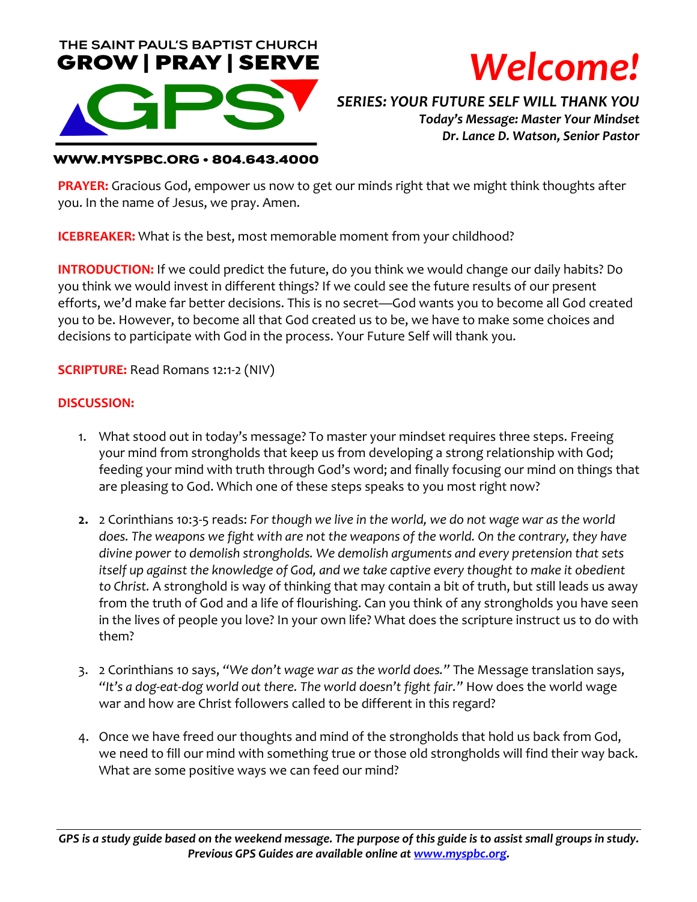



*SERIES: YOUR FUTURE SELF WILL THANK YOU Today's Message: Master Your Mindset Dr. Lance D. Watson, Senior Pastor*

### **WWW.MYSPBC.ORG · 804.643.4000**

**PRAYER:** Gracious God, empower us now to get our minds right that we might think thoughts after you. In the name of Jesus, we pray. Amen.

**ICEBREAKER:** What is the best, most memorable moment from your childhood?

**INTRODUCTION:** If we could predict the future, do you think we would change our daily habits? Do you think we would invest in different things? If we could see the future results of our present efforts, we'd make far better decisions. This is no secret—God wants you to become all God created you to be. However, to become all that God created us to be, we have to make some choices and decisions to participate with God in the process. Your Future Self will thank you.

**SCRIPTURE:** Read Romans 12:1-2 (NIV)

### **DISCUSSION:**

- 1. What stood out in today's message? To master your mindset requires three steps. Freeing your mind from strongholds that keep us from developing a strong relationship with God; feeding your mind with truth through God's word; and finally focusing our mind on things that are pleasing to God. Which one of these steps speaks to you most right now?
- **2.** 2 Corinthians 10:3-5 reads: *For though we live in the world, we do not wage war as the world does. The weapons we fight with are not the weapons of the world. On the contrary, they have divine power to demolish strongholds. We demolish arguments and every pretension that sets itself up against the knowledge of God, and we take captive every thought to make it obedient to Christ.* A stronghold is way of thinking that may contain a bit of truth, but still leads us away from the truth of God and a life of flourishing. Can you think of any strongholds you have seen in the lives of people you love? In your own life? What does the scripture instruct us to do with them?
- 3. 2 Corinthians 10 says, *"We don't wage war as the world does."* The Message translation says, *"It's a dog-eat-dog world out there. The world doesn't fight fair."* How does the world wage war and how are Christ followers called to be different in this regard?
- 4. Once we have freed our thoughts and mind of the strongholds that hold us back from God, we need to fill our mind with something true or those old strongholds will find their way back. What are some positive ways we can feed our mind?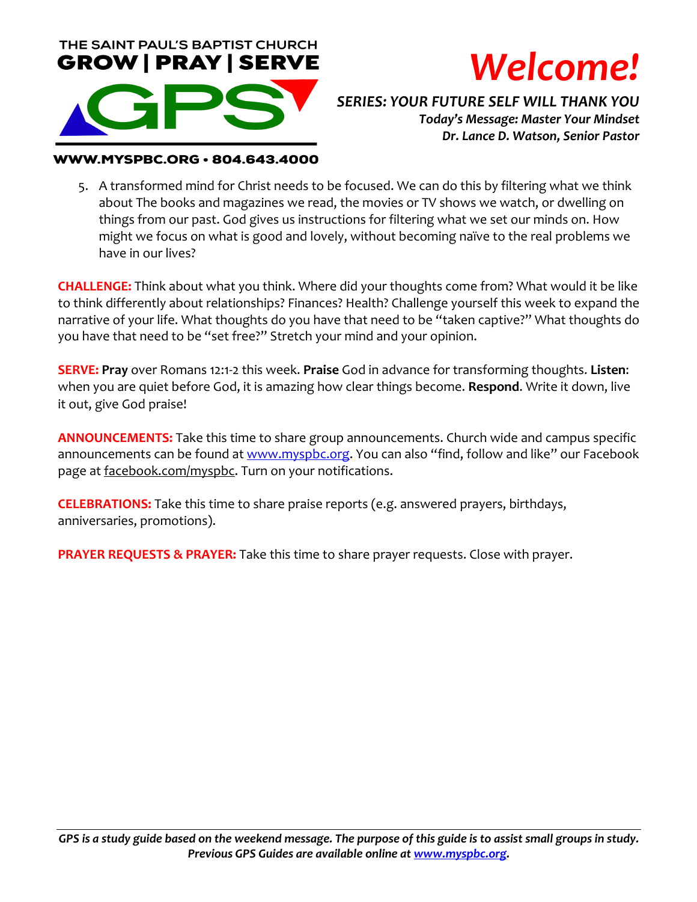



*SERIES: YOUR FUTURE SELF WILL THANK YOU Today's Message: Master Your Mindset Dr. Lance D. Watson, Senior Pastor*

#### WW.MYSPBC.ORG · 804.643.4000

5. A transformed mind for Christ needs to be focused. We can do this by filtering what we think about The books and magazines we read, the movies or TV shows we watch, or dwelling on things from our past. God gives us instructions for filtering what we set our minds on. How might we focus on what is good and lovely, without becoming naïve to the real problems we have in our lives?

**CHALLENGE:** Think about what you think. Where did your thoughts come from? What would it be like to think differently about relationships? Finances? Health? Challenge yourself this week to expand the narrative of your life. What thoughts do you have that need to be "taken captive?" What thoughts do you have that need to be "set free?" Stretch your mind and your opinion.

**SERVE: Pray** over Romans 12:1-2 this week. **Praise** God in advance for transforming thoughts. **Listen**: when you are quiet before God, it is amazing how clear things become. **Respond**. Write it down, live it out, give God praise!

**ANNOUNCEMENTS:** Take this time to share group announcements. Church wide and campus specific announcements can be found at www.myspbc.org. You can also "find, follow and like" our Facebook page at facebook.com/myspbc. Turn on your notifications.

**CELEBRATIONS:** Take this time to share praise reports (e.g. answered prayers, birthdays, anniversaries, promotions).

**PRAYER REQUESTS & PRAYER:** Take this time to share prayer requests. Close with prayer.